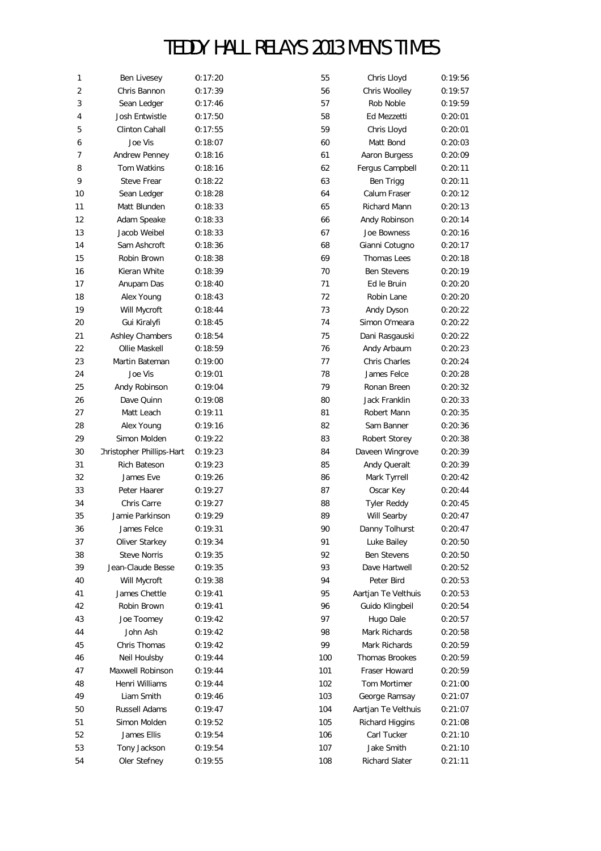| 1              | Ben Livesey               | 0:17:20 | 55  | Chris Lloyd         | 0:19:56 |
|----------------|---------------------------|---------|-----|---------------------|---------|
| $\overline{2}$ | Chris Bannon              | 0:17:39 | 56  | Chris Woolley       | 0:19:57 |
| 3              | Sean Ledger               | 0:17:46 | 57  | Rob Noble           | 0:19:59 |
| 4              | Josh Entwistle            | 0:17:50 | 58  | Ed Mezzetti         | 0:20:01 |
| 5              | Clinton Cahall            | 0:17:55 | 59  | Chris Lloyd         | 0:20:01 |
| 6              | Joe Vis                   | 0:18:07 | 60  | Matt Bond           | 0:20:03 |
| 7              | Andrew Penney             | 0:18:16 | 61  | Aaron Burgess       | 0:20:09 |
| 8              | Tom Watkins               | 0:18:16 | 62  | Fergus Campbell     | 0:20:11 |
| 9              | Steve Frear               | 0:18:22 | 63  | Ben Trigg           | 0:20:11 |
| 10             | Sean Ledger               | 0:18:28 | 64  | Calum Fraser        | 0:20:12 |
| 11             | Matt Blunden              | 0:18:33 | 65  | Richard Mann        | 0:20:13 |
| 12             | Adam Speake               | 0:18:33 | 66  | Andy Robinson       | 0:20:14 |
| 13             | Jacob Weibel              | 0:18:33 | 67  | Joe Bowness         | 0:20:16 |
| 14             | Sam Ashcroft              | 0:18:36 | 68  | Gianni Cotugno      | 0:20:17 |
| 15             | Robin Brown               | 0:18:38 | 69  | <b>Thomas Lees</b>  | 0:20:18 |
| 16             | Kieran White              | 0:18:39 | 70  | <b>Ben Stevens</b>  | 0:20:19 |
| 17             | Anupam Das                | 0:18:40 | 71  | Ed le Bruin         | 0:20:20 |
| 18             | Alex Young                | 0:18:43 | 72  | Robin Lane          | 0:20:20 |
| 19             | Will Mycroft              | 0:18:44 | 73  | Andy Dyson          | 0:20:22 |
| 20             | Gui Kiralyfi              | 0:18:45 | 74  | Simon O'meara       | 0:20:22 |
| 21             | <b>Ashley Chambers</b>    |         | 75  | Dani Rasgauski      | 0:20:22 |
|                |                           | 0:18:54 |     | Andy Arbaum         |         |
| 22             | Ollie Maskell             | 0:18:59 | 76  | Chris Charles       | 0:20:23 |
| 23             | Martin Bateman            | 0:19:00 | 77  |                     | 0:20:24 |
| 24             | Joe Vis                   | 0:19:01 | 78  | James Felce         | 0:20:28 |
| 25             | Andy Robinson             | 0:19:04 | 79  | Ronan Breen         | 0:20:32 |
| 26             | Dave Quinn                | 0:19:08 | 80  | Jack Franklin       | 0:20:33 |
| 27             | Matt Leach                | 0:19:11 | 81  | Robert Mann         | 0:20:35 |
| 28             | Alex Young                | 0:19:16 | 82  | Sam Banner          | 0:20:36 |
| 29             | Simon Molden              | 0:19:22 | 83  | Robert Storey       | 0:20:38 |
| 30             | :hristopher Phillips-Hart | 0:19:23 | 84  | Daveen Wingrove     | 0:20:39 |
| 31             | Rich Bateson              | 0:19:23 | 85  | Andy Queralt        | 0:20:39 |
| 32             | James Eve                 | 0:19:26 | 86  | Mark Tyrrell        | 0:20:42 |
| 33             | Peter Haarer              | 0:19:27 | 87  | Oscar Key           | 0:20:44 |
| 34             | Chris Carre               | 0:19:27 | 88  | <b>Tyler Reddy</b>  | 0:20:45 |
| 35             | Jamie Parkinson           | 0:19:29 | 89  | Will Searby         | 0:20:47 |
| 36             | James Felce               | 0:19:31 | 90  | Danny Tolhurst      | 0:20:47 |
| 37             | Oliver Starkey            | 0:19:34 | 91  | Luke Bailey         | 0:20:50 |
| 38             | <b>Steve Norris</b>       | 0:19:35 | 92  | <b>Ben Stevens</b>  | 0:20:50 |
| 39             | Jean-Claude Besse         | 0:19:35 | 93  | Dave Hartwell       | 0:20:52 |
| 40             | Will Mycroft              | 0:19:38 | 94  | Peter Bird          | 0:20:53 |
| 41             | James Chettle             | 0:19:41 | 95  | Aartjan Te Velthuis | 0:20:53 |
| 42             | Robin Brown               | 0:19:41 | 96  | Guido Klingbeil     | 0:20:54 |
| 43             | Joe Toomey                | 0:19:42 | 97  | Hugo Dale           | 0:20:57 |
| 44             | John Ash                  | 0:19:42 | 98  | Mark Richards       | 0:20:58 |
| 45             | Chris Thomas              | 0:19:42 | 99  | Mark Richards       | 0:20:59 |
| 46             | Neil Houlsby              | 0:19:44 | 100 | Thomas Brookes      | 0:20:59 |
| 47             | Maxwell Robinson          | 0:19:44 | 101 | Fraser Howard       | 0:20:59 |
| 48             | Henri Williams            | 0:19:44 | 102 | Tom Mortimer        | 0:21:00 |
| 49             | Liam Smith                | 0:19:46 | 103 | George Ramsay       | 0:21:07 |
| 50             | Russell Adams             | 0:19:47 | 104 | Aartjan Te Velthuis | 0:21:07 |
| 51             | Simon Molden              | 0:19:52 | 105 | Richard Higgins     | 0:21:08 |
| 52             | James Ellis               | 0:19:54 | 106 | Carl Tucker         | 0:21:10 |
| 53             | Tony Jackson              | 0:19:54 | 107 | Jake Smith          | 0:21:10 |
| 54             | Oler Stefney              | 0:19:55 | 108 | Richard Slater      | 0:21:11 |
|                |                           |         |     |                     |         |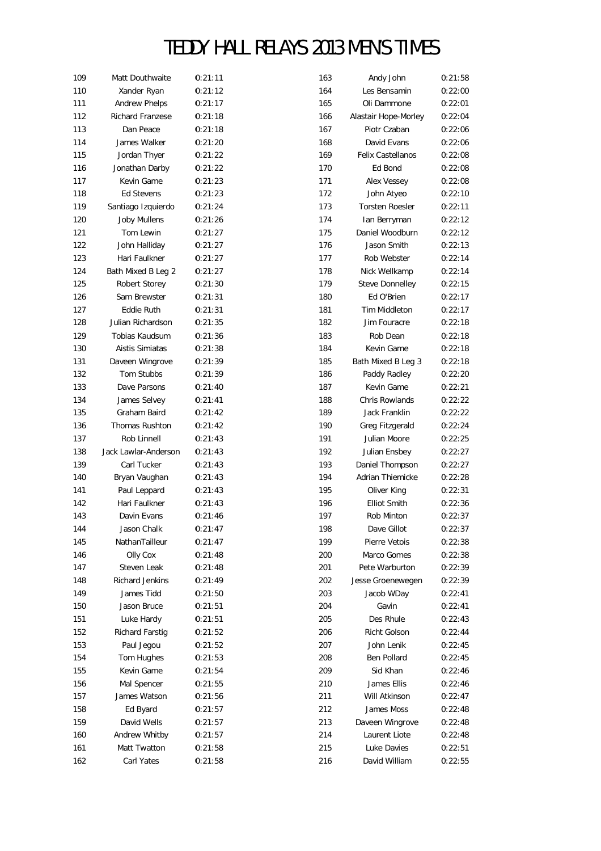| 109 | Matt Douthwaite         | 0:21:11 | 163 | Andy John                          | 0:21:58 |
|-----|-------------------------|---------|-----|------------------------------------|---------|
| 110 | Xander Ryan             | 0:21:12 | 164 | Les Bensamin                       | 0:22:00 |
| 111 | <b>Andrew Phelps</b>    | 0:21:17 | 165 | Oli Dammone                        | 0:22:01 |
| 112 | <b>Richard Franzese</b> | 0:21:18 | 166 | Alastair Hope-Morley               | 0:22:04 |
| 113 | Dan Peace               | 0:21:18 | 167 | Piotr Czaban                       | 0:22:06 |
| 114 | James Walker            | 0:21:20 | 168 | David Evans                        | 0:22:06 |
| 115 | Jordan Thyer            | 0:21:22 | 169 | <b>Felix Castellanos</b>           | 0:22:08 |
| 116 | Jonathan Darby          | 0:21:22 | 170 | Ed Bond                            | 0:22:08 |
| 117 | Kevin Game              | 0:21:23 | 171 | Alex Vessey                        | 0:22:08 |
| 118 | Ed Stevens              | 0:21:23 | 172 | John Atyeo                         | 0:22:10 |
| 119 | Santiago Izquierdo      | 0:21:24 | 173 | <b>Torsten Roesler</b>             | 0:22:11 |
| 120 | <b>Joby Mullens</b>     | 0:21:26 | 174 | Ian Berryman                       | 0:22:12 |
| 121 | Tom Lewin               | 0:21:27 | 175 | Daniel Woodburn                    | 0:22:12 |
| 122 | John Halliday           | 0:21:27 | 176 | Jason Smith                        | 0:22:13 |
| 123 | Hari Faulkner           | 0:21:27 | 177 | Rob Webster                        | 0:22:14 |
| 124 | Bath Mixed B Leg 2      | 0:21:27 | 178 | Nick Wellkamp                      | 0:22:14 |
| 125 | Robert Storey           | 0:21:30 | 179 | Steve Donnelley                    | 0:22:15 |
| 126 | Sam Brewster            | 0:21:31 | 180 | Ed O'Brien                         | 0:22:17 |
| 127 | Eddie Ruth              | 0:21:31 | 181 | Tim Middleton                      | 0:22:17 |
| 128 | Julian Richardson       | 0:21:35 | 182 | Jim Fouracre                       | 0:22:18 |
| 129 | Tobias Kaudsum          | 0:21:36 | 183 | Rob Dean                           | 0:22:18 |
| 130 | Aistis Simiatas         | 0:21:38 | 184 | Kevin Game                         | 0:22:18 |
| 131 | Daveen Wingrove         | 0:21:39 | 185 |                                    | 0:22:18 |
| 132 | Tom Stubbs              |         | 186 | Bath Mixed B Leg 3<br>Paddy Radley | 0:22:20 |
|     | Dave Parsons            | 0:21:39 |     |                                    |         |
| 133 |                         | 0:21:40 | 187 | Kevin Game                         | 0:22:21 |
| 134 | James Selvey            | 0:21:41 | 188 | Chris Rowlands                     | 0:22:22 |
| 135 | Graham Baird            | 0:21:42 | 189 | Jack Franklin                      | 0:22:22 |
| 136 | Thomas Rushton          | 0:21:42 | 190 | Greg Fitzgerald                    | 0:22:24 |
| 137 | Rob Linnell             | 0:21:43 | 191 | Julian Moore                       | 0:22:25 |
| 138 | Jack Lawlar-Anderson    | 0:21:43 | 192 | Julian Ensbey                      | 0:22:27 |
| 139 | Carl Tucker             | 0:21:43 | 193 | Daniel Thompson                    | 0:22:27 |
| 140 | Bryan Vaughan           | 0:21:43 | 194 | Adrian Thiemicke                   | 0:22:28 |
| 141 | Paul Leppard            | 0:21:43 | 195 | Oliver King                        | 0:22:31 |
| 142 | Hari Faulkner           | 0:21:43 | 196 | <b>Elliot Smith</b>                | 0:22:36 |
| 143 | Davin Evans             | 0:21:46 | 197 | Rob Minton                         | 0:22:37 |
| 144 | Jason Chalk             | 0:21:47 | 198 | Dave Gillot                        | 0:22:37 |
| 145 | NathanTailleur          | 0:21:47 | 199 | Pierre Vetois                      | 0:22:38 |
| 146 | Olly Cox                | 0:21:48 | 200 | Marco Gomes                        | 0:22:38 |
| 147 | Steven Leak             | 0:21:48 | 201 | Pete Warburton                     | 0:22:39 |
| 148 | <b>Richard Jenkins</b>  | 0:21:49 | 202 | Jesse Groenewegen                  | 0:22:39 |
| 149 | James Tidd              | 0:21:50 | 203 | Jacob WDay                         | 0:22:41 |
| 150 | Jason Bruce             | 0:21:51 | 204 | Gavin                              | 0:22:41 |
| 151 | Luke Hardy              | 0:21:51 | 205 | Des Rhule                          | 0:22:43 |
| 152 | Richard Farstig         | 0:21:52 | 206 | Richt Golson                       | 0:22:44 |
| 153 | Paul Jegou              | 0:21:52 | 207 | John Lenik                         | 0:22:45 |
| 154 | Tom Hughes              | 0:21:53 | 208 | Ben Pollard                        | 0:22:45 |
| 155 | Kevin Game              | 0:21:54 | 209 | Sid Khan                           | 0:22:46 |
| 156 | Mal Spencer             | 0:21:55 | 210 | James Ellis                        | 0:22:46 |
| 157 | James Watson            | 0:21:56 | 211 | Will Atkinson                      | 0:22:47 |
| 158 | Ed Byard                | 0:21:57 | 212 | James Moss                         | 0:22:48 |
| 159 | David Wells             | 0:21:57 | 213 | Daveen Wingrove                    | 0:22:48 |
| 160 | Andrew Whitby           | 0:21:57 | 214 | Laurent Liote                      | 0:22:48 |
| 161 | Matt Twatton            | 0:21:58 | 215 | Luke Davies                        | 0:22:51 |
| 162 | Carl Yates              | 0:21:58 | 216 | David William                      | 0:22:55 |
|     |                         |         |     |                                    |         |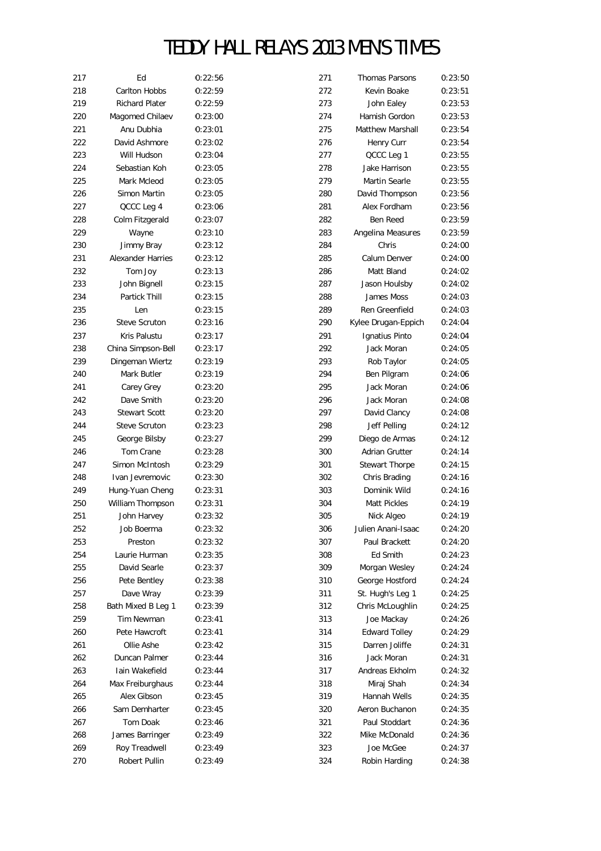| 217        | Ed                       | 0:22:56            | 271 | Thomas Parsons             | 0:23:50            |
|------------|--------------------------|--------------------|-----|----------------------------|--------------------|
| 218        | Carlton Hobbs            | 0:22:59            | 272 | Kevin Boake                | 0:23:51            |
| 219        | <b>Richard Plater</b>    | 0:22:59            | 273 | John Ealey                 | 0:23:53            |
| 220        | Magomed Chilaev          | 0:23:00            | 274 | Hamish Gordon              | 0:23:53            |
| 221        | Anu Dubhia               | 0:23:01            | 275 | Matthew Marshall           | 0:23:54            |
| 222        | David Ashmore            | 0:23:02            | 276 | Henry Curr                 | 0:23:54            |
| 223        | Will Hudson              | 0:23:04            | 277 | QCCC Leg 1                 | 0:23:55            |
| 224        | Sebastian Koh            | 0:23:05            | 278 | Jake Harrison              | 0:23:55            |
| 225        | Mark Mcleod              | 0:23:05            | 279 | Martin Searle              | 0:23:55            |
| 226        | Simon Martin             | 0:23:05            | 280 | David Thompson             | 0:23:56            |
| 227        | QCCC Leg 4               | 0:23:06            | 281 | Alex Fordham               | 0:23:56            |
| 228        | Colm Fitzgerald          | 0:23:07            | 282 | Ben Reed                   | 0:23:59            |
| 229        | Wayne                    | 0:23:10            | 283 | Angelina Measures          | 0:23:59            |
| 230        | Jimmy Bray               | 0:23:12            | 284 | Chris                      | 0:24:00            |
| 231        | <b>Alexander Harries</b> | 0:23:12            | 285 | Calum Denver               | 0:24:00            |
| 232        | Tom Joy                  | 0:23:13            | 286 | Matt Bland                 | 0:24:02            |
| 233        | John Bignell             | 0:23:15            | 287 | Jason Houlsby              | 0:24:02            |
| 234        | Partick Thill            | 0:23:15            | 288 | James Moss                 | 0:24:03            |
| 235        | Len                      | 0:23:15            | 289 | Ren Greenfield             | 0:24:03            |
| 236        | <b>Steve Scruton</b>     | 0:23:16            | 290 | Kylee Drugan-Eppich        | 0:24:04            |
| 237        | Kris Palustu             | 0:23:17            | 291 | Ignatius Pinto             | 0:24:04            |
| 238        | China Simpson-Bell       | 0:23:17            | 292 | Jack Moran                 | 0:24:05            |
| 239        | Dingeman Wiertz          | 0:23:19            | 293 | Rob Taylor                 | 0:24:05            |
| 240        | Mark Butler              | 0:23:19            | 294 | Ben Pilgram                | 0:24:06            |
| 241        | Carey Grey               | 0:23:20            | 295 | Jack Moran                 | 0:24:06            |
| 242        | Dave Smith               | 0:23:20            | 296 | Jack Moran                 | 0:24:08            |
| 243        | <b>Stewart Scott</b>     | 0:23:20            | 297 | David Clancy               | 0:24:08            |
| 244        | <b>Steve Scruton</b>     | 0:23:23            | 298 | Jeff Pelling               | 0:24:12            |
| 245        | George Bilsby            | 0:23:27            | 299 | Diego de Armas             | 0:24:12            |
| 246        | Tom Crane                | 0:23:28            | 300 | <b>Adrian Grutter</b>      | 0:24:14            |
| 247        | Simon McIntosh           | 0:23:29            | 301 | Stewart Thorpe             | 0:24:15            |
| 248        | Ivan Jevremovic          | 0:23:30            | 302 | Chris Brading              | 0:24:16            |
|            | Hung-Yuan Cheng          | 0:23:31            | 303 | Dominik Wild               |                    |
| 249        |                          |                    | 304 |                            | 0:24:16            |
| 250<br>251 | William Thompson         | 0:23:31<br>0:23:32 | 305 | Matt Pickles<br>Nick Algeo | 0:24:19<br>0:24:19 |
|            | John Harvey              |                    |     |                            |                    |
| 252        | Job Boerma               | 0:23:32            | 306 | Julien Anani-Isaac         | 0:24:20            |
| 253        | Preston                  | 0:23:32            | 307 | Paul Brackett              | 0:24:20            |
| 254        | Laurie Hurman            | 0:23:35            | 308 | Ed Smith                   | 0:24:23            |
| 255        | David Searle             | 0:23:37            | 309 | Morgan Wesley              | 0:24:24            |
| 256        | Pete Bentley             | 0:23:38            | 310 | George Hostford            | 0:24:24            |
| 257        | Dave Wray                | 0:23:39            | 311 | St. Hugh's Leg 1           | 0:24:25            |
| 258        | Bath Mixed B Leg 1       | 0:23:39            | 312 | Chris McLoughlin           | 0:24:25            |
| 259        | Tim Newman               | 0:23:41            | 313 | Joe Mackay                 | 0:24:26            |
| 260        | Pete Hawcroft            | 0:23:41            | 314 | <b>Edward Tolley</b>       | 0:24:29            |
| 261        | Ollie Ashe               | 0:23:42            | 315 | Darren Joliffe             | 0:24:31            |
| 262        | Duncan Palmer            | 0:23:44            | 316 | Jack Moran                 | 0:24:31            |
| 263        | Iain Wakefield           | 0:23:44            | 317 | Andreas Ekholm             | 0:24:32            |
| 264        | Max Freiburghaus         | 0:23:44            | 318 | Miraj Shah                 | 0:24:34            |
| 265        | Alex Gibson              | 0:23:45            | 319 | Hannah Wells               | 0:24:35            |
| 266        | Sam Demharter            | 0:23:45            | 320 | Aeron Buchanon             | 0:24:35            |
| 267        | Tom Doak                 | 0:23:46            | 321 | Paul Stoddart              | 0:24:36            |
| 268        | James Barringer          | 0:23:49            | 322 | Mike McDonald              | 0:24:36            |
| 269        | Roy Treadwell            | 0:23:49            | 323 | Joe McGee                  | 0:24:37            |
| 270        | Robert Pullin            | 0:23:49            | 324 | Robin Harding              | 0:24:38            |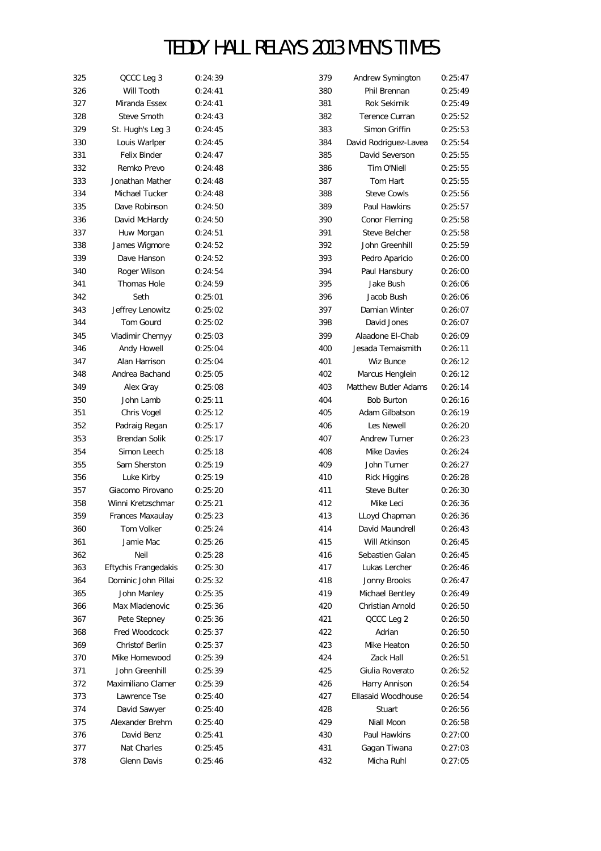| 325 | QCCC Leg 3           | 0:24:39            | 379 | Andrew Symington      | 0:25:47 |
|-----|----------------------|--------------------|-----|-----------------------|---------|
| 326 | Will Tooth           | 0:24:41            | 380 | Phil Brennan          | 0:25:49 |
| 327 | Miranda Essex        | 0:24:41            | 381 | <b>Rok Sekirnik</b>   | 0:25:49 |
| 328 | Steve Smoth          | 0:24:43            | 382 | Terence Curran        | 0:25:52 |
| 329 | St. Hugh's Leg 3     | 0:24:45            | 383 | Simon Griffin         | 0:25:53 |
| 330 | Louis Warlper        | 0:24:45            | 384 | David Rodriguez-Lavea | 0:25:54 |
| 331 | Felix Binder         | 0:24:47            | 385 | David Severson        | 0:25:55 |
| 332 | Remko Prevo          | 0:24:48            | 386 | Tim O'Niell           | 0:25:55 |
| 333 | Jonathan Mather      | 0:24:48            | 387 | Tom Hart              | 0:25:55 |
| 334 | Michael Tucker       | 0:24:48            | 388 | <b>Steve Cowls</b>    | 0:25:56 |
| 335 | Dave Robinson        | 0:24:50            | 389 | Paul Hawkins          | 0:25:57 |
| 336 | David McHardy        | 0:24:50            | 390 | Conor Fleming         | 0:25:58 |
| 337 | Huw Morgan           | 0:24:51            | 391 | <b>Steve Belcher</b>  | 0:25:58 |
| 338 | James Wigmore        | 0:24:52            | 392 | John Greenhill        | 0:25:59 |
| 339 | Dave Hanson          | 0:24:52            | 393 | Pedro Aparicio        | 0:26:00 |
| 340 | Roger Wilson         | 0:24:54            | 394 | Paul Hansbury         | 0:26:00 |
| 341 | <b>Thomas Hole</b>   | 0:24:59            | 395 | Jake Bush             | 0:26:06 |
| 342 | Seth                 | 0:25:01            | 396 | Jacob Bush            | 0:26:06 |
| 343 | Jeffrey Lenowitz     | 0:25:02            | 397 | Damian Winter         | 0:26:07 |
| 344 | Tom Gourd            | 0:25:02            | 398 | David Jones           | 0:26:07 |
| 345 | Vladimir Chernyy     | 0:25:03            | 399 | Alaadone El-Chab      | 0:26:09 |
| 346 | Andy Howell          | 0:25:04            | 400 | Jesada Temaismith     | 0:26:11 |
| 347 | Alan Harrison        |                    | 401 | <b>Wiz Bunce</b>      | 0:26:12 |
| 348 | Andrea Bachand       | 0:25:04<br>0:25:05 | 402 |                       | 0:26:12 |
|     | Alex Gray            |                    |     | Marcus Henglein       |         |
| 349 |                      | 0:25:08            | 403 | Matthew Butler Adams  | 0:26:14 |
| 350 | John Lamb            | 0:25:11            | 404 | <b>Bob Burton</b>     | 0:26:16 |
| 351 | Chris Vogel          | 0:25:12            | 405 | Adam Gilbatson        | 0:26:19 |
| 352 | Padraig Regan        | 0:25:17            | 406 | Les Newell            | 0:26:20 |
| 353 | Brendan Solik        | 0:25:17            | 407 | <b>Andrew Turner</b>  | 0:26:23 |
| 354 | Simon Leech          | 0:25:18            | 408 | <b>Mike Davies</b>    | 0:26:24 |
| 355 | Sam Sherston         | 0:25:19            | 409 | John Turner           | 0:26:27 |
| 356 | Luke Kirby           | 0:25:19            | 410 | <b>Rick Higgins</b>   | 0:26:28 |
| 357 | Giacomo Pirovano     | 0:25:20            | 411 | <b>Steve Bulter</b>   | 0:26:30 |
| 358 | Winni Kretzschmar    | 0:25:21            | 412 | Mike Leci             | 0:26:36 |
| 359 | Frances Maxaulay     | 0:25:23            | 413 | LLoyd Chapman         | 0:26:36 |
| 360 | Tom Volker           | 0:25:24            | 414 | David Maundrell       | 0:26:43 |
| 361 | Jamie Mac            | 0:25:26            | 415 | Will Atkinson         | 0:26:45 |
| 362 | Neil                 | 0:25:28            | 416 | Sebastien Galan       | 0:26:45 |
| 363 | Eftychis Frangedakis | 0:25:30            | 417 | Lukas Lercher         | 0:26:46 |
| 364 | Dominic John Pillai  | 0:25:32            | 418 | Jonny Brooks          | 0:26:47 |
| 365 | John Manley          | 0:25:35            | 419 | Michael Bentley       | 0:26:49 |
| 366 | Max Mladenovic       | 0:25:36            | 420 | Christian Arnold      | 0:26:50 |
| 367 | Pete Stepney         | 0:25:36            | 421 | QCCC Leg 2            | 0:26:50 |
| 368 | Fred Woodcock        | 0:25:37            | 422 | Adrian                | 0:26:50 |
| 369 | Christof Berlin      | 0:25:37            | 423 | Mike Heaton           | 0:26:50 |
| 370 | Mike Homewood        | 0:25:39            | 424 | Zack Hall             | 0:26:51 |
| 371 | John Greenhill       | 0:25:39            | 425 | Giulia Roverato       | 0:26:52 |
| 372 | Maximiliano Clamer   | 0:25:39            | 426 | Harry Annison         | 0:26:54 |
| 373 | Lawrence Tse         | 0:25:40            | 427 | Ellasaid Woodhouse    | 0:26:54 |
| 374 | David Sawyer         | 0:25:40            | 428 | Stuart                | 0:26:56 |
| 375 | Alexander Brehm      | 0:25:40            | 429 | Niall Moon            | 0:26:58 |
| 376 | David Benz           | 0:25:41            | 430 | Paul Hawkins          | 0:27:00 |
| 377 | Nat Charles          | 0:25:45            | 431 | Gagan Tiwana          | 0:27:03 |
| 378 | Glenn Davis          | 0:25:46            | 432 | Micha Ruhl            | 0:27:05 |
|     |                      |                    |     |                       |         |